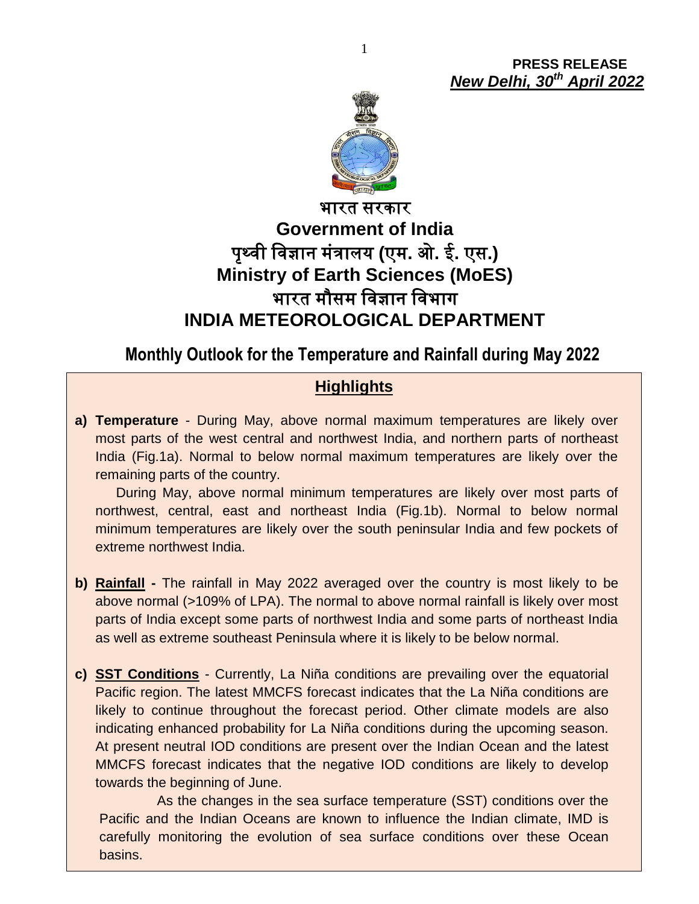**PRESS RELEASE** *New Delhi, 30 th April 2022*



# भारत सरकार **Government of India** पृथ्वी ववज्ञान मंत्रालय **(**एम**.** ओ**.** ई**.** एस**.) Ministry of Earth Sciences (MoES)** भारत मौसम ववज्ञान ववभाग **INDIA METEOROLOGICAL DEPARTMENT**

## **Monthly Outlook for the Temperature and Rainfall during May 2022**

### **Highlights**

**a) Temperature** - During May, above normal maximum temperatures are likely over most parts of the west central and northwest India, and northern parts of northeast India (Fig.1a). Normal to below normal maximum temperatures are likely over the remaining parts of the country.

During May, above normal minimum temperatures are likely over most parts of northwest, central, east and northeast India (Fig.1b). Normal to below normal minimum temperatures are likely over the south peninsular India and few pockets of extreme northwest India.

- **b) Rainfall -** The rainfall in May 2022 averaged over the country is most likely to be above normal (>109% of LPA). The normal to above normal rainfall is likely over most parts of India except some parts of northwest India and some parts of northeast India as well as extreme southeast Peninsula where it is likely to be below normal.
- **c) SST Conditions** Currently, La Niña conditions are prevailing over the equatorial Pacific region. The latest MMCFS forecast indicates that the La Niña conditions are likely to continue throughout the forecast period. Other climate models are also indicating enhanced probability for La Niña conditions during the upcoming season. At present neutral IOD conditions are present over the Indian Ocean and the latest MMCFS forecast indicates that the negative IOD conditions are likely to develop towards the beginning of June.

carefully monitoring the evolution of sea surface conditions over these Ocean As the changes in the sea surface temperature (SST) conditions over the Pacific and the Indian Oceans are known to influence the Indian climate, IMD is basins.

1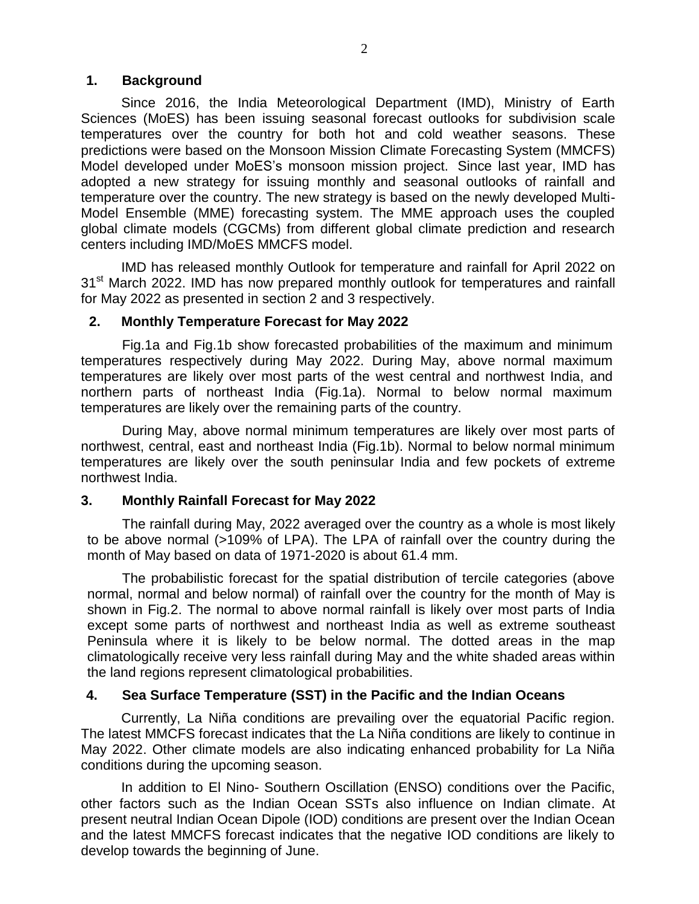#### **1. Background**

Since 2016, the India Meteorological Department (IMD), Ministry of Earth Sciences (MoES) has been issuing seasonal forecast outlooks for subdivision scale temperatures over the country for both hot and cold weather seasons. These predictions were based on the Monsoon Mission Climate Forecasting System (MMCFS) Model developed under MoES's monsoon mission project. Since last year, IMD has adopted a new strategy for issuing monthly and seasonal outlooks of rainfall and temperature over the country. The new strategy is based on the newly developed Multi-Model Ensemble (MME) forecasting system. The MME approach uses the coupled global climate models (CGCMs) from different global climate prediction and research centers including IMD/MoES MMCFS model.

IMD has released monthly Outlook for temperature and rainfall for April 2022 on 31<sup>st</sup> March 2022. IMD has now prepared monthly outlook for temperatures and rainfall for May 2022 as presented in section 2 and 3 respectively.

#### **2. Monthly Temperature Forecast for May 2022**

Fig.1a and Fig.1b show forecasted probabilities of the maximum and minimum temperatures respectively during May 2022. During May, above normal maximum temperatures are likely over most parts of the west central and northwest India, and northern parts of northeast India (Fig.1a). Normal to below normal maximum temperatures are likely over the remaining parts of the country.

During May, above normal minimum temperatures are likely over most parts of northwest, central, east and northeast India (Fig.1b). Normal to below normal minimum temperatures are likely over the south peninsular India and few pockets of extreme northwest India.

#### **3. Monthly Rainfall Forecast for May 2022**

The rainfall during May, 2022 averaged over the country as a whole is most likely to be above normal (>109% of LPA). The LPA of rainfall over the country during the month of May based on data of 1971-2020 is about 61.4 mm.

The probabilistic forecast for the spatial distribution of tercile categories (above normal, normal and below normal) of rainfall over the country for the month of May is shown in Fig.2. The normal to above normal rainfall is likely over most parts of India except some parts of northwest and northeast India as well as extreme southeast Peninsula where it is likely to be below normal. The dotted areas in the map climatologically receive very less rainfall during May and the white shaded areas within the land regions represent climatological probabilities.

#### **4. Sea Surface Temperature (SST) in the Pacific and the Indian Oceans**

Currently, La Niña conditions are prevailing over the equatorial Pacific region. The latest MMCFS forecast indicates that the La Niña conditions are likely to continue in May 2022. Other climate models are also indicating enhanced probability for La Niña conditions during the upcoming season.

In addition to El Nino- Southern Oscillation (ENSO) conditions over the Pacific, other factors such as the Indian Ocean SSTs also influence on Indian climate. At present neutral Indian Ocean Dipole (IOD) conditions are present over the Indian Ocean and the latest MMCFS forecast indicates that the negative IOD conditions are likely to develop towards the beginning of June.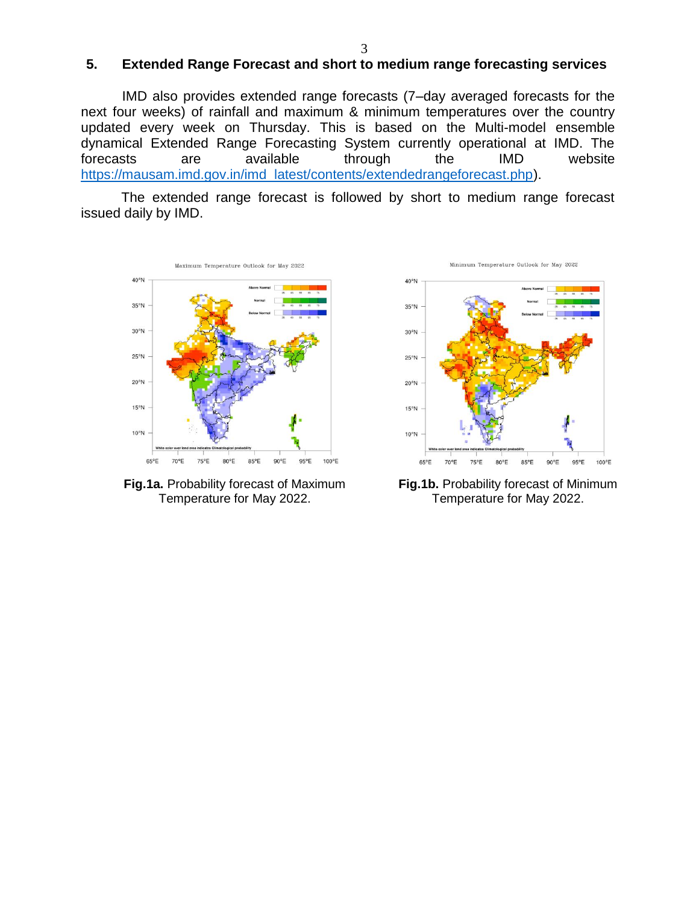#### **5. Extended Range Forecast and short to medium range forecasting services**

IMD also provides extended range forecasts (7–day averaged forecasts for the next four weeks) of rainfall and maximum & minimum temperatures over the country updated every week on Thursday. This is based on the Multi-model ensemble dynamical Extended Range Forecasting System currently operational at IMD. The forecasts are available through the IMD website [https://mausam.imd.gov.in/imd\\_latest/contents/extendedrangeforecast.php\)](https://mausam.imd.gov.in/imd_latest/contents/extendedrangeforecast.php).

The extended range forecast is followed by short to medium range forecast issued daily by IMD.



**Fig.1a.** Probability forecast of Maximum Temperature for May 2022.





**Fig.1b.** Probability forecast of Minimum Temperature for May 2022.